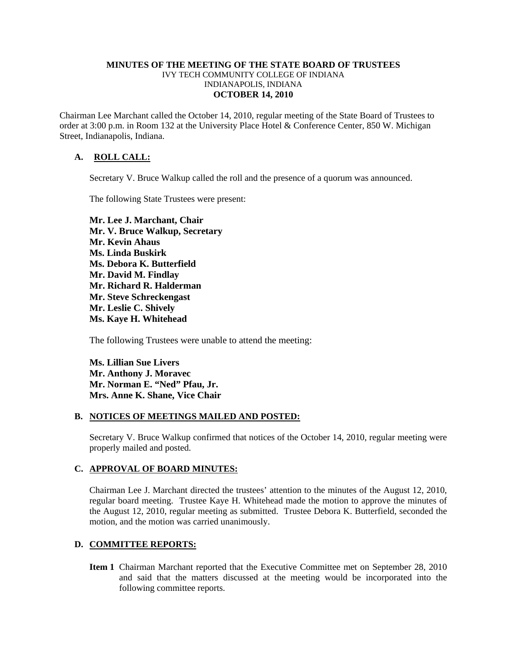#### **MINUTES OF THE MEETING OF THE STATE BOARD OF TRUSTEES**  IVY TECH COMMUNITY COLLEGE OF INDIANA INDIANAPOLIS, INDIANA **OCTOBER 14, 2010**

Chairman Lee Marchant called the October 14, 2010, regular meeting of the State Board of Trustees to order at 3:00 p.m. in Room 132 at the University Place Hotel & Conference Center, 850 W. Michigan Street, Indianapolis, Indiana.

# **A. ROLL CALL:**

Secretary V. Bruce Walkup called the roll and the presence of a quorum was announced.

The following State Trustees were present:

**Mr. Lee J. Marchant, Chair Mr. V. Bruce Walkup, Secretary Mr. Kevin Ahaus Ms. Linda Buskirk Ms. Debora K. Butterfield Mr. David M. Findlay Mr. Richard R. Halderman Mr. Steve Schreckengast Mr. Leslie C. Shively Ms. Kaye H. Whitehead** 

The following Trustees were unable to attend the meeting:

**Ms. Lillian Sue Livers Mr. Anthony J. Moravec Mr. Norman E. "Ned" Pfau, Jr. Mrs. Anne K. Shane, Vice Chair** 

#### **B. NOTICES OF MEETINGS MAILED AND POSTED:**

Secretary V. Bruce Walkup confirmed that notices of the October 14, 2010, regular meeting were properly mailed and posted.

### **C. APPROVAL OF BOARD MINUTES:**

Chairman Lee J. Marchant directed the trustees' attention to the minutes of the August 12, 2010, regular board meeting. Trustee Kaye H. Whitehead made the motion to approve the minutes of the August 12, 2010, regular meeting as submitted. Trustee Debora K. Butterfield, seconded the motion, and the motion was carried unanimously.

#### **D. COMMITTEE REPORTS:**

**Item 1** Chairman Marchant reported that the Executive Committee met on September 28, 2010 and said that the matters discussed at the meeting would be incorporated into the following committee reports.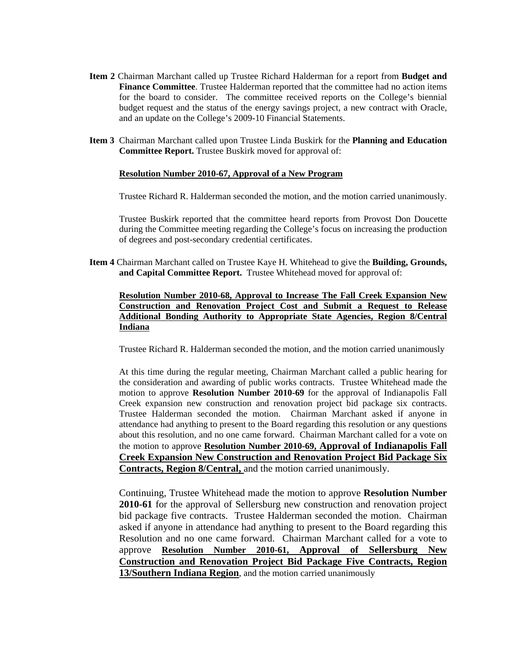- **Item 2** Chairman Marchant called up Trustee Richard Halderman for a report from **Budget and Finance Committee**. Trustee Halderman reported that the committee had no action items for the board to consider.The committee received reports on the College's biennial budget request and the status of the energy savings project, a new contract with Oracle, and an update on the College's 2009-10 Financial Statements.
- **Item 3** Chairman Marchant called upon Trustee Linda Buskirk for the **Planning and Education Committee Report.** Trustee Buskirk moved for approval of:

#### **Resolution Number 2010-67, Approval of a New Program**

Trustee Richard R. Halderman seconded the motion, and the motion carried unanimously.

 Trustee Buskirk reported that the committee heard reports from Provost Don Doucette during the Committee meeting regarding the College's focus on increasing the production of degrees and post-secondary credential certificates.

**Item 4** Chairman Marchant called on Trustee Kaye H. Whitehead to give the **Building, Grounds, and Capital Committee Report.** Trustee Whitehead moved for approval of:

## **Resolution Number 2010-68, Approval to Increase The Fall Creek Expansion New Construction and Renovation Project Cost and Submit a Request to Release Additional Bonding Authority to Appropriate State Agencies, Region 8/Central Indiana**

Trustee Richard R. Halderman seconded the motion, and the motion carried unanimously

At this time during the regular meeting, Chairman Marchant called a public hearing for the consideration and awarding of public works contracts. Trustee Whitehead made the motion to approve **Resolution Number 2010-69** for the approval of Indianapolis Fall Creek expansion new construction and renovation project bid package six contracts. Trustee Halderman seconded the motion. Chairman Marchant asked if anyone in attendance had anything to present to the Board regarding this resolution or any questions about this resolution, and no one came forward. Chairman Marchant called for a vote on the motion to approve **Resolution Number 2010-69, Approval of Indianapolis Fall Creek Expansion New Construction and Renovation Project Bid Package Six Contracts, Region 8/Central,** and the motion carried unanimously.

Continuing, Trustee Whitehead made the motion to approve **Resolution Number 2010-61** for the approval of Sellersburg new construction and renovation project bid package five contracts. Trustee Halderman seconded the motion. Chairman asked if anyone in attendance had anything to present to the Board regarding this Resolution and no one came forward. Chairman Marchant called for a vote to approve **Resolution Number 2010-61, Approval of Sellersburg New Construction and Renovation Project Bid Package Five Contracts, Region 13/Southern Indiana Region**, and the motion carried unanimously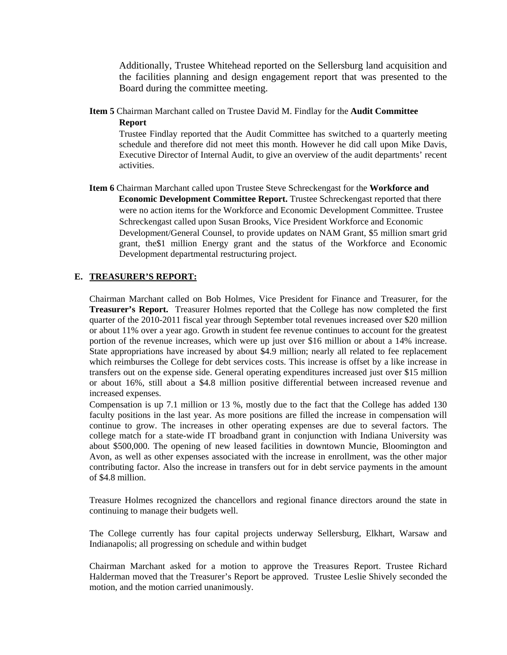Additionally, Trustee Whitehead reported on the Sellersburg land acquisition and the facilities planning and design engagement report that was presented to the Board during the committee meeting.

**Item 5** Chairman Marchant called on Trustee David M. Findlay for the **Audit Committee** 

**Report**

Trustee Findlay reported that the Audit Committee has switched to a quarterly meeting schedule and therefore did not meet this month. However he did call upon Mike Davis, Executive Director of Internal Audit, to give an overview of the audit departments' recent activities.

 **Item 6** Chairman Marchant called upon Trustee Steve Schreckengast for the **Workforce and Economic Development Committee Report.** Trustee Schreckengast reported that there were no action items for the Workforce and Economic Development Committee. Trustee Schreckengast called upon Susan Brooks, Vice President Workforce and Economic Development/General Counsel, to provide updates on NAM Grant, \$5 million smart grid grant, the\$1 million Energy grant and the status of the Workforce and Economic Development departmental restructuring project.

## **E. TREASURER'S REPORT:**

Chairman Marchant called on Bob Holmes, Vice President for Finance and Treasurer, for the **Treasurer's Report.** Treasurer Holmes reported that the College has now completed the first quarter of the 2010-2011 fiscal year through September total revenues increased over \$20 million or about 11% over a year ago. Growth in student fee revenue continues to account for the greatest portion of the revenue increases, which were up just over \$16 million or about a 14% increase. State appropriations have increased by about \$4.9 million; nearly all related to fee replacement which reimburses the College for debt services costs. This increase is offset by a like increase in transfers out on the expense side. General operating expenditures increased just over \$15 million or about 16%, still about a \$4.8 million positive differential between increased revenue and increased expenses.

Compensation is up 7.1 million or 13 %, mostly due to the fact that the College has added 130 faculty positions in the last year. As more positions are filled the increase in compensation will continue to grow. The increases in other operating expenses are due to several factors. The college match for a state-wide IT broadband grant in conjunction with Indiana University was about \$500,000. The opening of new leased facilities in downtown Muncie, Bloomington and Avon, as well as other expenses associated with the increase in enrollment, was the other major contributing factor. Also the increase in transfers out for in debt service payments in the amount of \$4.8 million.

Treasure Holmes recognized the chancellors and regional finance directors around the state in continuing to manage their budgets well.

The College currently has four capital projects underway Sellersburg, Elkhart, Warsaw and Indianapolis; all progressing on schedule and within budget

Chairman Marchant asked for a motion to approve the Treasures Report. Trustee Richard Halderman moved that the Treasurer's Report be approved. Trustee Leslie Shively seconded the motion, and the motion carried unanimously.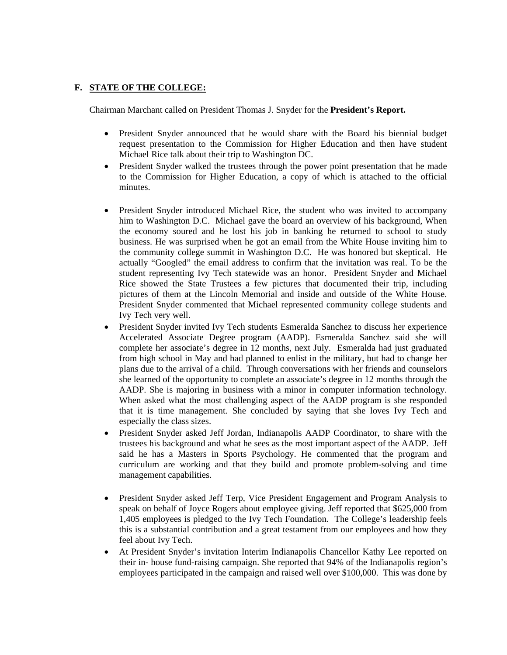## **F. STATE OF THE COLLEGE:**

Chairman Marchant called on President Thomas J. Snyder for the **President's Report.** 

- President Snyder announced that he would share with the Board his biennial budget request presentation to the Commission for Higher Education and then have student Michael Rice talk about their trip to Washington DC.
- President Snyder walked the trustees through the power point presentation that he made to the Commission for Higher Education, a copy of which is attached to the official minutes.
- President Snyder introduced Michael Rice, the student who was invited to accompany him to Washington D.C. Michael gave the board an overview of his background, When the economy soured and he lost his job in banking he returned to school to study business. He was surprised when he got an email from the White House inviting him to the community college summit in Washington D.C. He was honored but skeptical. He actually "Googled" the email address to confirm that the invitation was real. To be the student representing Ivy Tech statewide was an honor. President Snyder and Michael Rice showed the State Trustees a few pictures that documented their trip, including pictures of them at the Lincoln Memorial and inside and outside of the White House. President Snyder commented that Michael represented community college students and Ivy Tech very well.
- President Snyder invited Ivy Tech students Esmeralda Sanchez to discuss her experience Accelerated Associate Degree program (AADP). Esmeralda Sanchez said she will complete her associate's degree in 12 months, next July. Esmeralda had just graduated from high school in May and had planned to enlist in the military, but had to change her plans due to the arrival of a child. Through conversations with her friends and counselors she learned of the opportunity to complete an associate's degree in 12 months through the AADP. She is majoring in business with a minor in computer information technology. When asked what the most challenging aspect of the AADP program is she responded that it is time management. She concluded by saying that she loves Ivy Tech and especially the class sizes.
- President Snyder asked Jeff Jordan, Indianapolis AADP Coordinator, to share with the trustees his background and what he sees as the most important aspect of the AADP. Jeff said he has a Masters in Sports Psychology. He commented that the program and curriculum are working and that they build and promote problem-solving and time management capabilities.
- President Snyder asked Jeff Terp, Vice President Engagement and Program Analysis to speak on behalf of Joyce Rogers about employee giving. Jeff reported that \$625,000 from 1,405 employees is pledged to the Ivy Tech Foundation. The College's leadership feels this is a substantial contribution and a great testament from our employees and how they feel about Ivy Tech.
- At President Snyder's invitation Interim Indianapolis Chancellor Kathy Lee reported on their in- house fund-raising campaign. She reported that 94% of the Indianapolis region's employees participated in the campaign and raised well over \$100,000. This was done by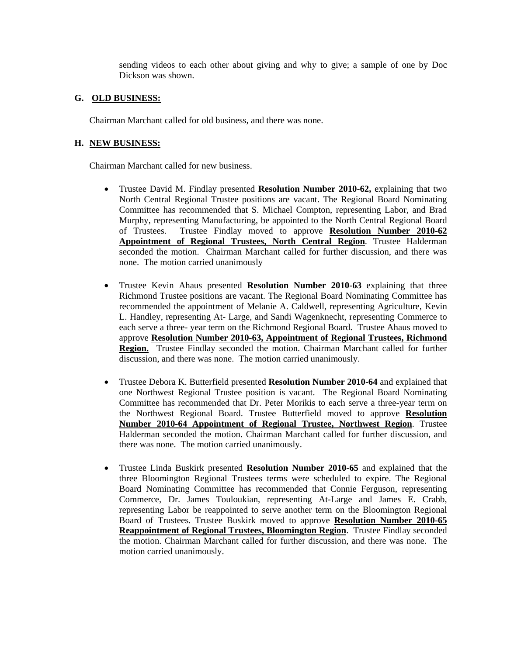sending videos to each other about giving and why to give; a sample of one by Doc Dickson was shown.

### **G. OLD BUSINESS:**

Chairman Marchant called for old business, and there was none.

# **H. NEW BUSINESS:**

Chairman Marchant called for new business.

- Trustee David M. Findlay presented **Resolution Number 2010-62,** explaining that two North Central Regional Trustee positions are vacant. The Regional Board Nominating Committee has recommended that S. Michael Compton, representing Labor, and Brad Murphy, representing Manufacturing, be appointed to the North Central Regional Board of Trustees. Trustee Findlay moved to approve **Resolution Number 2010-62 Appointment of Regional Trustees, North Central Region**. Trustee Halderman seconded the motion. Chairman Marchant called for further discussion, and there was none. The motion carried unanimously
- Trustee Kevin Ahaus presented **Resolution Number 2010-63** explaining that three Richmond Trustee positions are vacant. The Regional Board Nominating Committee has recommended the appointment of Melanie A. Caldwell, representing Agriculture, Kevin L. Handley, representing At- Large, and Sandi Wagenknecht, representing Commerce to each serve a three- year term on the Richmond Regional Board. Trustee Ahaus moved to approve **Resolution Number 2010-63, Appointment of Regional Trustees, Richmond Region.** Trustee Findlay seconded the motion. Chairman Marchant called for further discussion, and there was none. The motion carried unanimously.
- Trustee Debora K. Butterfield presented **Resolution Number 2010-64** and explained that one Northwest Regional Trustee position is vacant. The Regional Board Nominating Committee has recommended that Dr. Peter Morikis to each serve a three-year term on the Northwest Regional Board. Trustee Butterfield moved to approve **Resolution Number 2010-64 Appointment of Regional Trustee, Northwest Region**. Trustee Halderman seconded the motion. Chairman Marchant called for further discussion, and there was none. The motion carried unanimously.
- Trustee Linda Buskirk presented **Resolution Number 2010-65** and explained that the three Bloomington Regional Trustees terms were scheduled to expire. The Regional Board Nominating Committee has recommended that Connie Ferguson, representing Commerce, Dr. James Touloukian, representing At-Large and James E. Crabb, representing Labor be reappointed to serve another term on the Bloomington Regional Board of Trustees. Trustee Buskirk moved to approve **Resolution Number 2010-65 Reappointment of Regional Trustees, Bloomington Region**. Trustee Findlay seconded the motion. Chairman Marchant called for further discussion, and there was none. The motion carried unanimously.